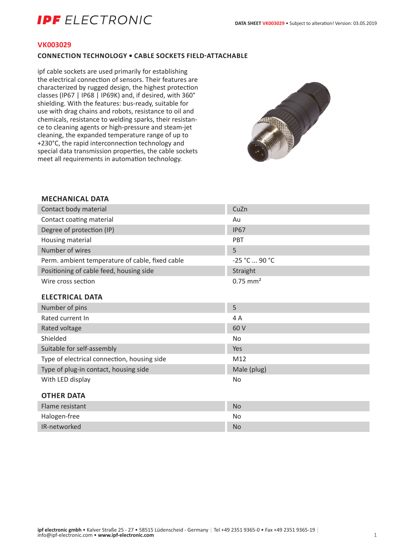# **IDF** FI FCTRONIC

#### **VK003029**

### **CONNECTION TECHNOLOGY • CABLE SOCKETS FIELD-ATTACHABLE**

ipf cable sockets are used primarily for establishing the electrical connection of sensors. Their features are characterized by rugged design, the highest protection classes (IP67 | IP68 | IP69K) and, if desired, with 360° shielding. With the features: bus-ready, suitable for use with drag chains and robots, resistance to oil and chemicals, resistance to welding sparks, their resistance to cleaning agents or high-pressure and steam-jet cleaning, the expanded temperature range of up to +230°C, the rapid interconnection technology and special data transmission properties, the cable sockets meet all requirements in automation technology.



## **MECHANICAL DATA**

| Contact body material                           | CuZn                   |
|-------------------------------------------------|------------------------|
| Contact coating material                        | Au                     |
| Degree of protection (IP)                       | <b>IP67</b>            |
| Housing material                                | PBT                    |
| Number of wires                                 | 5                      |
| Perm. ambient temperature of cable, fixed cable | -25 °C  90 °C          |
| Positioning of cable feed, housing side         | Straight               |
| Wire cross section                              | $0.75$ mm <sup>2</sup> |
| <b>ELECTRICAL DATA</b>                          |                        |
| Number of pins                                  | 5                      |
| Rated current In                                | 4A                     |
| Rated voltage                                   | 60 V                   |
| Shielded                                        | <b>No</b>              |
| Suitable for self-assembly                      | Yes                    |
| Type of electrical connection, housing side     | M12                    |
| Type of plug-in contact, housing side           | Male (plug)            |
| With LED display                                | No                     |
| <b>OTHER DATA</b>                               |                        |
| Flame resistant                                 | <b>No</b>              |
| Halogen-free                                    | No                     |
| IR-networked                                    | <b>No</b>              |